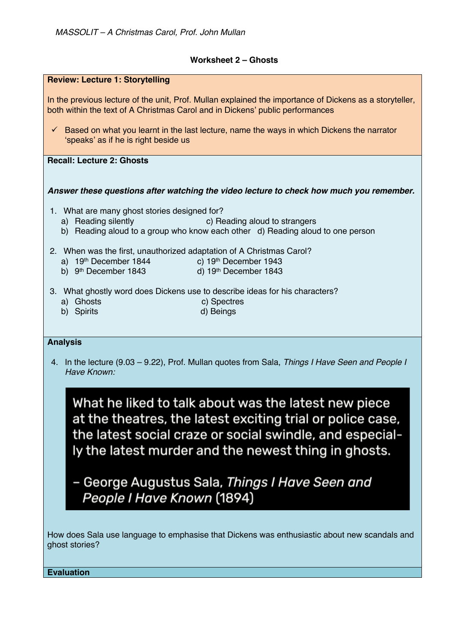## **Worksheet 2 – Ghosts**

| In the previous lecture of the unit, Prof. Mullan explained the importance of Dickens as a storyteller,<br>both within the text of A Christmas Carol and in Dickens' public performances |
|------------------------------------------------------------------------------------------------------------------------------------------------------------------------------------------|
| $\checkmark$ Based on what you learnt in the last lecture, name the ways in which Dickens the narrator<br>'speaks' as if he is right beside us                                           |
| <b>Recall: Lecture 2: Ghosts</b>                                                                                                                                                         |
| Answer these questions after watching the video lecture to check how much you remember.                                                                                                  |
| 1. What are many ghost stories designed for?<br>a) Reading silently<br>c) Reading aloud to strangers<br>b) Reading aloud to a group who know each other d) Reading aloud to one person   |
| 2. When was the first, unauthorized adaptation of A Christmas Carol?<br>a) $19th$ December 1844 c) $19th$ December 1943<br>d) 19th December 1843<br>b) $9th$ December 1843               |
| 3. What ghostly word does Dickens use to describe ideas for his characters?<br>a) Ghosts<br>c) Spectres<br>d) Beings<br>b) Spirits                                                       |
| <b>Analysis</b>                                                                                                                                                                          |
| 4. In the lecture (9.03 – 9.22), Prof. Mullan quotes from Sala, Things I Have Seen and People I<br>Have Known:                                                                           |
| What he liked to talk about was the latest new piece<br>at the theatres, the latest exciting trial or police case,                                                                       |
| the latest social craze or social swindle, and especial-<br>ly the latest murder and the newest thing in ghosts.                                                                         |
| – George Augustus Sala, Things I Have Seen and<br>People I Have Known (1894)                                                                                                             |

**Evaluation**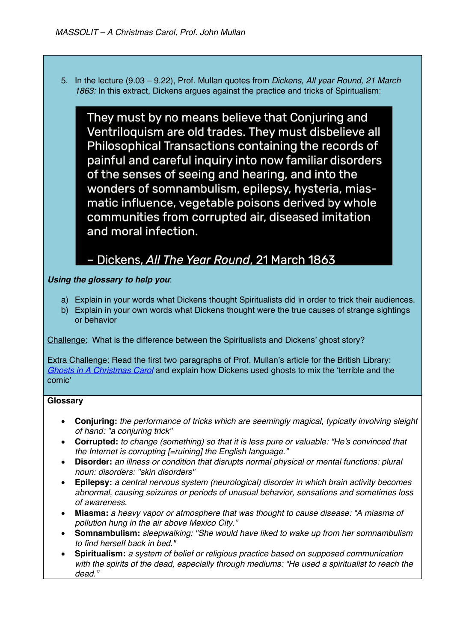5. In the lecture (9.03 – 9.22), Prof. Mullan quotes from *Dickens, All year Round, 21 March 1863:* In this extract, Dickens argues against the practice and tricks of Spiritualism:

They must by no means believe that Conjuring and Ventriloquism are old trades. They must disbelieve all Philosophical Transactions containing the records of painful and careful inquiry into now familiar disorders of the senses of seeing and hearing, and into the wonders of somnambulism, epilepsy, hysteria, miasmatic influence, vegetable poisons derived by whole communities from corrupted air, diseased imitation and moral infection.

## - Dickens, All The Year Round, 21 March 1863

## *Using the glossary to help you*:

- a) Explain in your words what Dickens thought Spiritualists did in order to trick their audiences.
- b) Explain in your own words what Dickens thought were the true causes of strange sightings or behavior

Challenge: What is the difference between the Spiritualists and Dickens' ghost story?

Extra Challenge: Read the first two paragraphs of Prof. Mullan's article for the British Library: *Ghosts in A Christmas Carol* and explain how Dickens used ghosts to mix the 'terrible and the comic'

## **Glossary**

- **Conjuring:** *the performance of tricks which are seemingly magical, typically involving sleight of hand: "a conjuring trick"*
- **Corrupted:** *to change (something) so that it is less pure or valuable: "He's convinced that the Internet is corrupting [=ruining] the English language."*
- **Disorder:** *an illness or condition that disrupts normal physical or mental functions: plural noun: disorders: "skin disorders"*
- **Epilepsy:** *a central nervous system (neurological) disorder in which brain activity becomes abnormal, causing seizures or periods of unusual behavior, sensations and sometimes loss of awareness.*
- **Miasma:** *a heavy vapor or atmosphere that was thought to cause disease: "A miasma of pollution hung in the air above Mexico City."*
- **Somnambulism:** *sleepwalking: "She would have liked to wake up from her somnambulism to find herself back in bed."*
- **Spiritualism:** *a system of belief or religious practice based on supposed communication with the spirits of the dead, especially through mediums: "He used a spiritualist to reach the dead."*